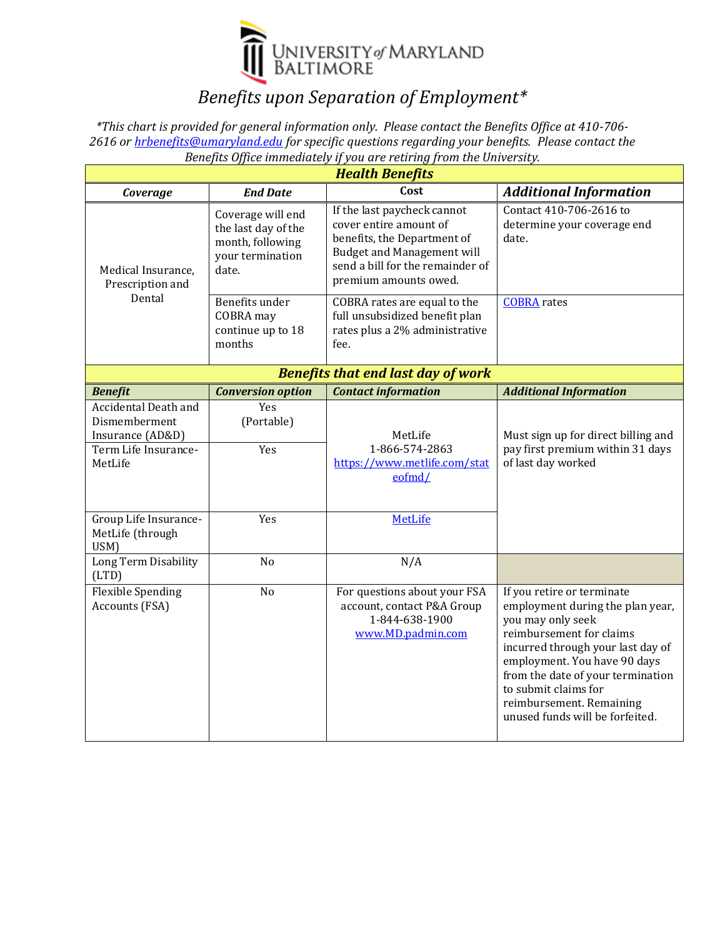

## *Benefits upon Separation of Employment\**

*\*This chart is provided for general information only. Please contact the Benefits Office at 410-706- 2616 or [hrbenefits@umaryland.edu](mailto:hrbenefits@umaryland.edu) for specific questions regarding your benefits. Please contact the Benefits Office immediately if you are retiring from the University.*

| <b>Health Benefits</b>                                                                              |                                                                                           |                                                                                                                                                                                        |                                                                                                                                                                                                                                                                                                                  |  |  |  |  |  |
|-----------------------------------------------------------------------------------------------------|-------------------------------------------------------------------------------------------|----------------------------------------------------------------------------------------------------------------------------------------------------------------------------------------|------------------------------------------------------------------------------------------------------------------------------------------------------------------------------------------------------------------------------------------------------------------------------------------------------------------|--|--|--|--|--|
| Coverage                                                                                            | <b>End Date</b>                                                                           | Cost                                                                                                                                                                                   | <b>Additional Information</b>                                                                                                                                                                                                                                                                                    |  |  |  |  |  |
| Medical Insurance,<br>Prescription and<br>Dental                                                    | Coverage will end<br>the last day of the<br>month, following<br>your termination<br>date. | If the last paycheck cannot<br>cover entire amount of<br>benefits, the Department of<br><b>Budget and Management will</b><br>send a bill for the remainder of<br>premium amounts owed. | Contact 410-706-2616 to<br>determine your coverage end<br>date.                                                                                                                                                                                                                                                  |  |  |  |  |  |
|                                                                                                     | Benefits under<br>COBRA may<br>continue up to 18<br>months                                | COBRA rates are equal to the<br>full unsubsidized benefit plan<br>rates plus a 2% administrative<br>fee.                                                                               | <b>COBRA</b> rates                                                                                                                                                                                                                                                                                               |  |  |  |  |  |
| <b>Benefits that end last day of work</b>                                                           |                                                                                           |                                                                                                                                                                                        |                                                                                                                                                                                                                                                                                                                  |  |  |  |  |  |
| <b>Benefit</b>                                                                                      | <b>Conversion option</b>                                                                  | <b>Contact information</b>                                                                                                                                                             | <b>Additional Information</b>                                                                                                                                                                                                                                                                                    |  |  |  |  |  |
| <b>Accidental Death and</b><br>Dismemberment<br>Insurance (AD&D)<br>Term Life Insurance-<br>MetLife | Yes<br>(Portable)<br>Yes                                                                  | MetLife<br>1-866-574-2863<br>https://www.metlife.com/stat<br>eofmd/                                                                                                                    | Must sign up for direct billing and<br>pay first premium within 31 days<br>of last day worked                                                                                                                                                                                                                    |  |  |  |  |  |
| Group Life Insurance-<br>MetLife (through<br>USM)                                                   | Yes                                                                                       | MetLife                                                                                                                                                                                |                                                                                                                                                                                                                                                                                                                  |  |  |  |  |  |
| Long Term Disability<br>(LTD)                                                                       | No                                                                                        | N/A                                                                                                                                                                                    |                                                                                                                                                                                                                                                                                                                  |  |  |  |  |  |
| <b>Flexible Spending</b><br>Accounts (FSA)                                                          | No                                                                                        | For questions about your FSA<br>account, contact P&A Group<br>1-844-638-1900<br>www.MD.padmin.com                                                                                      | If you retire or terminate<br>employment during the plan year,<br>you may only seek<br>reimbursement for claims<br>incurred through your last day of<br>employment. You have 90 days<br>from the date of your termination<br>to submit claims for<br>reimbursement. Remaining<br>unused funds will be forfeited. |  |  |  |  |  |